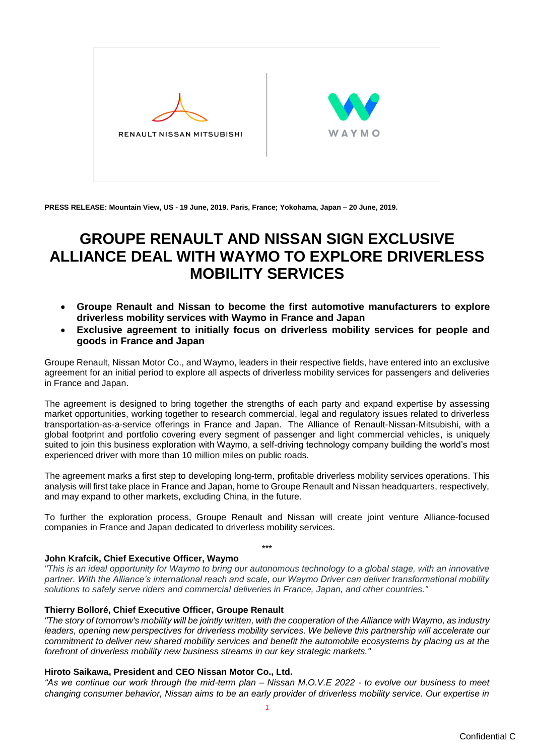

**PRESS RELEASE: Mountain View, US - 19 June, 2019. Paris, France; Yokohama, Japan – 20 June, 2019.**

# **GROUPE RENAULT AND NISSAN SIGN EXCLUSIVE ALLIANCE DEAL WITH WAYMO TO EXPLORE DRIVERLESS MOBILITY SERVICES**

- **Groupe Renault and Nissan to become the first automotive manufacturers to explore driverless mobility services with Waymo in France and Japan**
- **Exclusive agreement to initially focus on driverless mobility services for people and goods in France and Japan**

Groupe Renault, Nissan Motor Co., and Waymo, leaders in their respective fields, have entered into an exclusive agreement for an initial period to explore all aspects of driverless mobility services for passengers and deliveries in France and Japan.

The agreement is designed to bring together the strengths of each party and expand expertise by assessing market opportunities, working together to research commercial, legal and regulatory issues related to driverless transportation-as-a-service offerings in France and Japan. The Alliance of Renault-Nissan-Mitsubishi, with a global footprint and portfolio covering every segment of passenger and light commercial vehicles, is uniquely suited to join this business exploration with Waymo, a self-driving technology company building the world's most experienced driver with more than 10 million miles on public roads.

The agreement marks a first step to developing long-term, profitable driverless mobility services operations. This analysis will first take place in France and Japan, home to Groupe Renault and Nissan headquarters, respectively, and may expand to other markets, excluding China, in the future.

To further the exploration process, Groupe Renault and Nissan will create joint venture Alliance-focused companies in France and Japan dedicated to driverless mobility services.

\*\*\*

## **John Krafcik, Chief Executive Officer, Waymo**

*"This is an ideal opportunity for Waymo to bring our autonomous technology to a global stage, with an innovative partner. With the Alliance's international reach and scale, our Waymo Driver can deliver transformational mobility solutions to safely serve riders and commercial deliveries in France, Japan, and other countries."*

## **Thierry Bolloré, Chief Executive Officer, Groupe Renault**

*"The story of tomorrow's mobility will be jointly written, with the cooperation of the Alliance with Waymo, as industry leaders, opening new perspectives for driverless mobility services. We believe this partnership will accelerate our commitment to deliver new shared mobility services and benefit the automobile ecosystems by placing us at the forefront of driverless mobility new business streams in our key strategic markets."*

## **Hiroto Saikawa, President and CEO Nissan Motor Co., Ltd.**

*"As we continue our work through the mid-term plan – Nissan M.O.V.E 2022 - to evolve our business to meet changing consumer behavior, Nissan aims to be an early provider of driverless mobility service. Our expertise in*